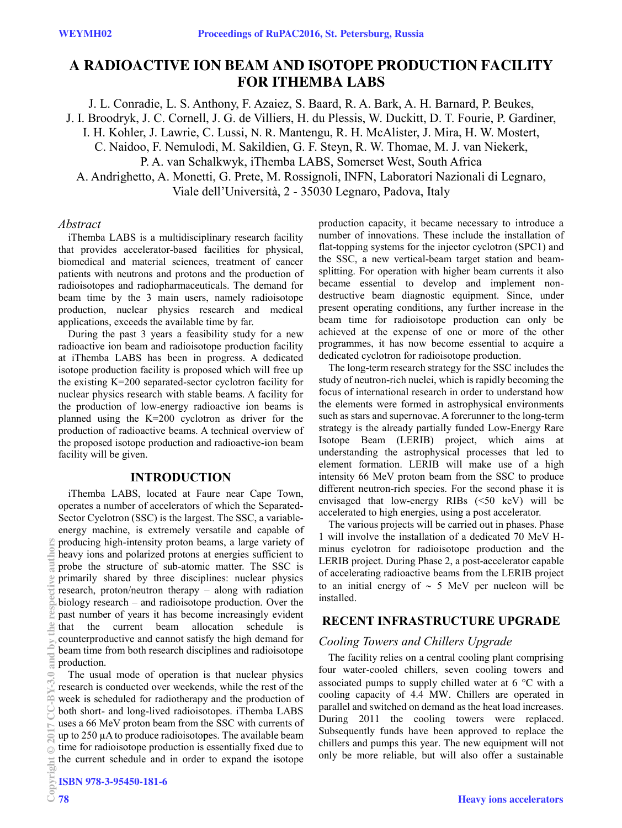# **A RADIOACTIVE ION BEAM AND ISOTOPE PRODUCTION FACILITY FOR ITHEMBA LABS**

J. L. Conradie, L. S. Anthony, F. Azaiez, S. Baard, R. A. Bark, A. H. Barnard, P. Beukes,

J. I. Broodryk, J. C. Cornell, J. G. de Villiers, H. du Plessis, W. Duckitt, D. T. Fourie, P. Gardiner,

I. H. Kohler, J. Lawrie, C. Lussi, N. R. Mantengu, R. H. McAlister, J. Mira, H. W. Mostert,

C. Naidoo, F. Nemulodi, M. Sakildien, G. F. Steyn, R. W. Thomae, M. J. van Niekerk,

P. A. van Schalkwyk, iThemba LABS, Somerset West, South Africa

A. Andrighetto, A. Monetti, G. Prete, M. Rossignoli, INFN, Laboratori Nazionali di Legnaro,

Viale dell'Università, 2 - 35030 Legnaro, Padova, Italy

#### *Abstract*

iThemba LABS is a multidisciplinary research facility that provides accelerator-based facilities for physical, biomedical and material sciences, treatment of cancer patients with neutrons and protons and the production of radioisotopes and radiopharmaceuticals. The demand for beam time by the 3 main users, namely radioisotope production, nuclear physics research and medical applications, exceeds the available time by far.

During the past 3 years a feasibility study for a new radioactive ion beam and radioisotope production facility at iThemba LABS has been in progress. A dedicated isotope production facility is proposed which will free up the existing K=200 separated-sector cyclotron facility for nuclear physics research with stable beams. A facility for the production of low-energy radioactive ion beams is planned using the K=200 cyclotron as driver for the production of radioactive beams. A technical overview of the proposed isotope production and radioactive-ion beam facility will be given.

### **INTRODUCTION**

iThemba LABS, located at Faure near Cape Town, operates a number of accelerators of which the Separated-Sector Cyclotron (SSC) is the largest. The SSC, a variableenergy machine, is extremely versatile and capable of producing high-intensity proton beams, a large variety of heavy ions and polarized protons at energies sufficient to probe the structure of sub-atomic matter. The SSC is primarily shared by three disciplines: nuclear physics research, proton/neutron therapy – along with radiation biology research – and radioisotope production. Over the past number of years it has become increasingly evident that the current beam allocation schedule is counterproductive and cannot satisfy the high demand for beam time from both research disciplines and radioisotope production.

The usual mode of operation is that nuclear physics research is conducted over weekends, while the rest of the week is scheduled for radiotherapy and the production of both short- and long-lived radioisotopes. iThemba LABS uses a 66 MeV proton beam from the SSC with currents of up to 250 µA to produce radioisotopes. The available beam time for radioisotope production is essentially fixed due to the current schedule and in order to expand the isotope production capacity, it became necessary to introduce a number of innovations. These include the installation of flat-topping systems for the injector cyclotron (SPC1) and the SSC, a new vertical-beam target station and beamsplitting. For operation with higher beam currents it also became essential to develop and implement nondestructive beam diagnostic equipment. Since, under present operating conditions, any further increase in the beam time for radioisotope production can only be achieved at the expense of one or more of the other programmes, it has now become essential to acquire a dedicated cyclotron for radioisotope production.

The long-term research strategy for the SSC includes the study of neutron-rich nuclei, which is rapidly becoming the focus of international research in order to understand how the elements were formed in astrophysical environments such as stars and supernovae. A forerunner to the long-term strategy is the already partially funded Low-Energy Rare Isotope Beam (LERIB) project, which aims at understanding the astrophysical processes that led to element formation. LERIB will make use of a high intensity 66 MeV proton beam from the SSC to produce different neutron-rich species. For the second phase it is envisaged that low-energy RIBs (<50 keV) will be accelerated to high energies, using a post accelerator.

The various projects will be carried out in phases. Phase 1 will involve the installation of a dedicated 70 MeV Hminus cyclotron for radioisotope production and the LERIB project. During Phase 2, a post-accelerator capable of accelerating radioactive beams from the LERIB project to an initial energy of  $\sim$  5 MeV per nucleon will be installed.

## **RECENT INFRASTRUCTURE UPGRADE**

### *Cooling Towers and Chillers Upgrade*

The facility relies on a central cooling plant comprising four water-cooled chillers, seven cooling towers and associated pumps to supply chilled water at  $6^{\circ}$ C with a cooling capacity of 4.4 MW. Chillers are operated in parallel and switched on demand as the heat load increases. During 2011 the cooling towers were replaced. Subsequently funds have been approved to replace the chillers and pumps this year. The new equipment will not only be more reliable, but will also offer a sustainable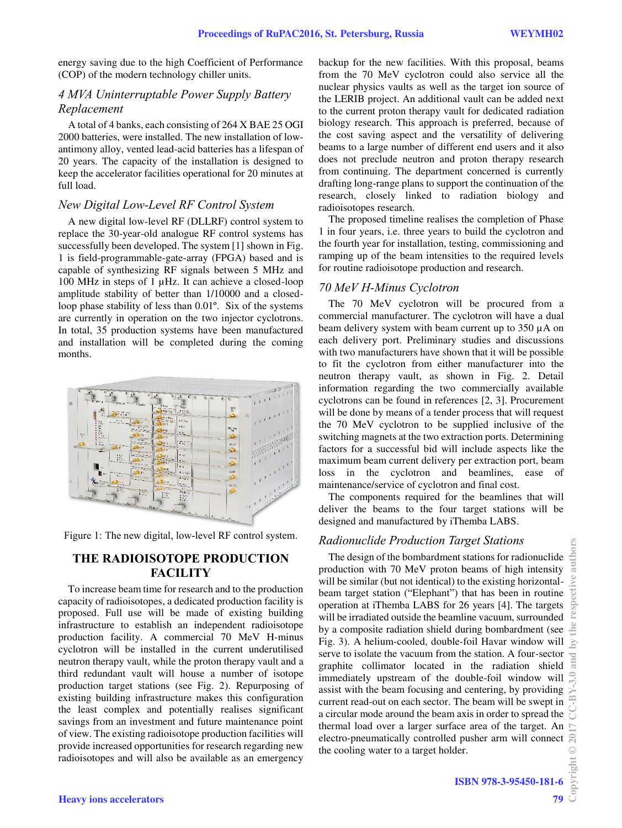energy saving due to the high Coefficient of Performance (COP) of the modern technology chiller units.

# *4 MVA Uninterruptable Power Supply Battery Replacement*

A total of 4 banks, each consisting of 264 X BAE 25 OGI 2000 batteries, were installed. The new installation of lowantimony alloy, vented lead-acid batteries has a lifespan of 20 years. The capacity of the installation is designed to keep the accelerator facilities operational for 20 minutes at full load.

### *New Digital Low-Level RF Control System*

A new digital low-level RF (DLLRF) control system to replace the 30-year-old analogue RF control systems has successfully been developed. The system [1] shown in Fig. 1 is field-programmable-gate-array (FPGA) based and is capable of synthesizing RF signals between 5 MHz and 100 MHz in steps of 1 µHz. It can achieve a closed-loop amplitude stability of better than 1/10000 and a closedloop phase stability of less than 0.01º. Six of the systems are currently in operation on the two injector cyclotrons. In total, 35 production systems have been manufactured and installation will be completed during the coming months.



Figure 1: The new digital, low-level RF control system.

# **THE RADIOISOTOPE PRODUCTION FACILITY**

To increase beam time for research and to the production capacity of radioisotopes, a dedicated production facility is proposed. Full use will be made of existing building infrastructure to establish an independent radioisotope production facility. A commercial 70 MeV H-minus cyclotron will be installed in the current underutilised neutron therapy vault, while the proton therapy vault and a third redundant vault will house a number of isotope production target stations (see Fig. 2). Repurposing of existing building infrastructure makes this configuration the least complex and potentially realises significant savings from an investment and future maintenance point of view. The existing radioisotope production facilities will provide increased opportunities for research regarding new radioisotopes and will also be available as an emergency

backup for the new facilities. With this proposal, beams from the 70 MeV cyclotron could also service all the nuclear physics vaults as well as the target ion source of the LERIB project. An additional vault can be added next to the current proton therapy vault for dedicated radiation biology research. This approach is preferred, because of the cost saving aspect and the versatility of delivering beams to a large number of different end users and it also does not preclude neutron and proton therapy research from continuing. The department concerned is currently drafting long-range plans to support the continuation of the research, closely linked to radiation biology and radioisotopes research.

The proposed timeline realises the completion of Phase 1 in four years, i.e. three years to build the cyclotron and the fourth year for installation, testing, commissioning and ramping up of the beam intensities to the required levels for routine radioisotope production and research.

### *70 MeV H-Minus Cyclotron*

The 70 MeV cyclotron will be procured from a commercial manufacturer. The cyclotron will have a dual beam delivery system with beam current up to 350 µA on each delivery port. Preliminary studies and discussions with two manufacturers have shown that it will be possible to fit the cyclotron from either manufacturer into the neutron therapy vault, as shown in Fig. 2. Detail information regarding the two commercially available cyclotrons can be found in references [2, 3]. Procurement will be done by means of a tender process that will request the 70 MeV cyclotron to be supplied inclusive of the switching magnets at the two extraction ports. Determining factors for a successful bid will include aspects like the maximum beam current delivery per extraction port, beam loss in the cyclotron and beamlines, ease of maintenance/service of cyclotron and final cost.

The components required for the beamlines that will deliver the beams to the four target stations will be designed and manufactured by iThemba LABS.

### *Radionuclide Production Target Stations*

The design of the bombardment stations for radionuclide production with 70 MeV proton beams of high intensity will be similar (but not identical) to the existing horizontalbeam target station ("Elephant") that has been in routine operation at iThemba LABS for 26 years [4]. The targets will be irradiated outside the beamline vacuum, surrounded by a composite radiation shield during bombardment (see Fig. 3). A helium-cooled, double-foil Havar window will serve to isolate the vacuum from the station. A four-sector graphite collimator located in the radiation shield immediately upstream of the double-foil window will assist with the beam focusing and centering, by providing current read-out on each sector. The beam will be swept in a circular mode around the beam axis in order to spread the thermal load over a larger surface area of the target. An electro-pneumatically controlled pusher arm will connect the cooling water to a target holder.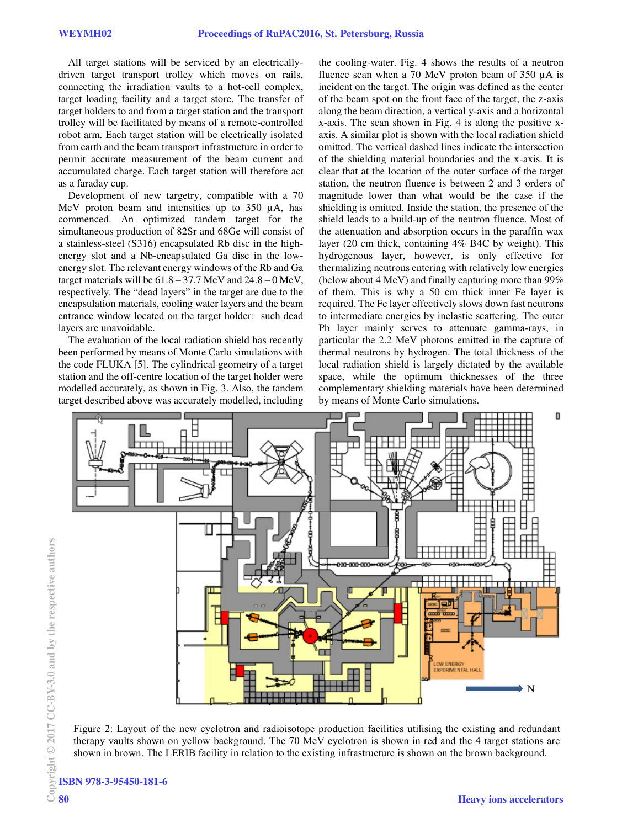All target stations will be serviced by an electricallydriven target transport trolley which moves on rails, connecting the irradiation vaults to a hot-cell complex, target loading facility and a target store. The transfer of target holders to and from a target station and the transport trolley will be facilitated by means of a remote-controlled robot arm. Each target station will be electrically isolated from earth and the beam transport infrastructure in order to permit accurate measurement of the beam current and accumulated charge. Each target station will therefore act as a faraday cup.

Development of new targetry, compatible with a 70 MeV proton beam and intensities up to 350  $\mu$ A, has commenced. An optimized tandem target for the simultaneous production of 82Sr and 68Ge will consist of a stainless-steel (S316) encapsulated Rb disc in the highenergy slot and a Nb-encapsulated Ga disc in the lowenergy slot. The relevant energy windows of the Rb and Ga target materials will be  $61.8 - 37.7$  MeV and  $24.8 - 0$  MeV, respectively. The "dead layers" in the target are due to the encapsulation materials, cooling water layers and the beam entrance window located on the target holder: such dead layers are unavoidable.

The evaluation of the local radiation shield has recently been performed by means of Monte Carlo simulations with the code FLUKA [5]. The cylindrical geometry of a target station and the off-centre location of the target holder were modelled accurately, as shown in Fig. 3. Also, the tandem target described above was accurately modelled, including

the cooling-water. Fig. 4 shows the results of a neutron fluence scan when a 70 MeV proton beam of 350 µA is incident on the target. The origin was defined as the center of the beam spot on the front face of the target, the z-axis along the beam direction, a vertical y-axis and a horizontal x-axis. The scan shown in Fig. 4 is along the positive xaxis. A similar plot is shown with the local radiation shield omitted. The vertical dashed lines indicate the intersection of the shielding material boundaries and the x-axis. It is clear that at the location of the outer surface of the target station, the neutron fluence is between 2 and 3 orders of magnitude lower than what would be the case if the shielding is omitted. Inside the station, the presence of the shield leads to a build-up of the neutron fluence. Most of the attenuation and absorption occurs in the paraffin wax layer (20 cm thick, containing 4% B4C by weight). This hydrogenous layer, however, is only effective for thermalizing neutrons entering with relatively low energies (below about 4 MeV) and finally capturing more than 99% of them. This is why a 50 cm thick inner Fe layer is required. The Fe layer effectively slows down fast neutrons to intermediate energies by inelastic scattering. The outer Pb layer mainly serves to attenuate gamma-rays, in particular the 2.2 MeV photons emitted in the capture of thermal neutrons by hydrogen. The total thickness of the local radiation shield is largely dictated by the available space, while the optimum thicknesses of the three complementary shielding materials have been determined by means of Monte Carlo simulations.



Figure 2: Layout of the new cyclotron and radioisotope production facilities utilising the existing and redundant therapy vaults shown on yellow background. The 70 MeV cyclotron is shown in red and the 4 target stations are shown in brown. The LERIB facility in relation to the existing infrastructure is shown on the brown background.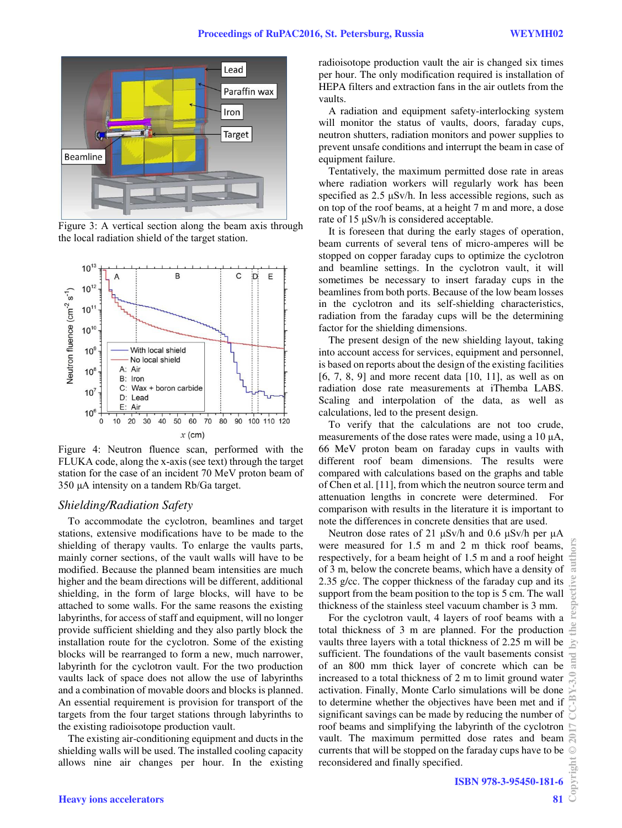

Figure 3: A vertical section along the beam axis through the local radiation shield of the target station.



Figure 4: Neutron fluence scan, performed with the FLUKA code, along the x-axis (see text) through the target station for the case of an incident 70 MeV proton beam of 350 µA intensity on a tandem Rb/Ga target.

#### *Shielding/Radiation Safety*

To accommodate the cyclotron, beamlines and target stations, extensive modifications have to be made to the shielding of therapy vaults. To enlarge the vaults parts, mainly corner sections, of the vault walls will have to be modified. Because the planned beam intensities are much higher and the beam directions will be different, additional shielding, in the form of large blocks, will have to be attached to some walls. For the same reasons the existing labyrinths, for access of staff and equipment, will no longer provide sufficient shielding and they also partly block the installation route for the cyclotron. Some of the existing blocks will be rearranged to form a new, much narrower, labyrinth for the cyclotron vault. For the two production vaults lack of space does not allow the use of labyrinths and a combination of movable doors and blocks is planned. An essential requirement is provision for transport of the targets from the four target stations through labyrinths to the existing radioisotope production vault.

The existing air-conditioning equipment and ducts in the shielding walls will be used. The installed cooling capacity allows nine air changes per hour. In the existing radioisotope production vault the air is changed six times per hour. The only modification required is installation of HEPA filters and extraction fans in the air outlets from the vaults.

A radiation and equipment safety-interlocking system will monitor the status of vaults, doors, faraday cups, neutron shutters, radiation monitors and power supplies to prevent unsafe conditions and interrupt the beam in case of equipment failure.

Tentatively, the maximum permitted dose rate in areas where radiation workers will regularly work has been specified as 2.5 μSv/h. In less accessible regions, such as on top of the roof beams, at a height 7 m and more, a dose rate of 15 μSv/h is considered acceptable.

It is foreseen that during the early stages of operation, beam currents of several tens of micro-amperes will be stopped on copper faraday cups to optimize the cyclotron and beamline settings. In the cyclotron vault, it will sometimes be necessary to insert faraday cups in the beamlines from both ports. Because of the low beam losses in the cyclotron and its self-shielding characteristics, radiation from the faraday cups will be the determining factor for the shielding dimensions.

The present design of the new shielding layout, taking into account access for services, equipment and personnel, is based on reports about the design of the existing facilities [6, 7, 8, 9] and more recent data [10, 11], as well as on radiation dose rate measurements at iThemba LABS. Scaling and interpolation of the data, as well as calculations, led to the present design.

To verify that the calculations are not too crude, measurements of the dose rates were made, using a 10 μA, 66 MeV proton beam on faraday cups in vaults with different roof beam dimensions. The results were compared with calculations based on the graphs and table of Chen et al. [11], from which the neutron source term and attenuation lengths in concrete were determined. For comparison with results in the literature it is important to note the differences in concrete densities that are used.

Neutron dose rates of 21 μSv/h and 0.6 μSv/h per μA were measured for 1.5 m and 2 m thick roof beams, respectively, for a beam height of 1.5 m and a roof height of 3 m, below the concrete beams, which have a density of 2.35 g/cc. The copper thickness of the faraday cup and its support from the beam position to the top is 5 cm. The wall thickness of the stainless steel vacuum chamber is 3 mm.

For the cyclotron vault, 4 layers of roof beams with a total thickness of 3 m are planned. For the production vaults three layers with a total thickness of 2.25 m will be sufficient. The foundations of the vault basements consist of an 800 mm thick layer of concrete which can be increased to a total thickness of 2 m to limit ground water activation. Finally, Monte Carlo simulations will be done to determine whether the objectives have been met and if significant savings can be made by reducing the number of roof beams and simplifying the labyrinth of the cyclotron vault. The maximum permitted dose rates and beam currents that will be stopped on the faraday cups have to be reconsidered and finally specified.

auth